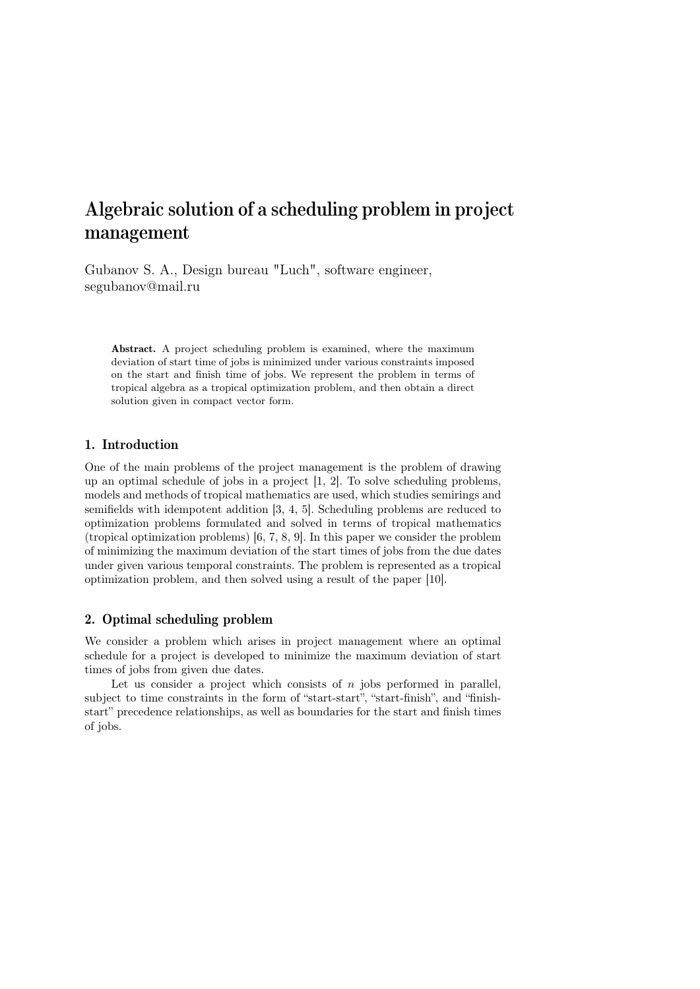# Algebraic solution of a scheduling problem in project management

Gubanov S. A., Design bureau "Luch", software engineer, segubanov@mail.ru

Abstract. A project scheduling problem is examined, where the maximum deviation of start time of jobs is minimized under various constraints imposed on the start and finish time of jobs. We represent the problem in terms of tropical algebra as a tropical optimization problem, and then obtain a direct solution given in compact vector form.

# 1. Introduction

One of the main problems of the project management is the problem of drawing up an optimal schedule of jobs in a project [1, 2]. To solve scheduling problems, models and methods of tropical mathematics are used, which studies semirings and semifields with idempotent addition [3, 4, 5]. Scheduling problems are reduced to optimization problems formulated and solved in terms of tropical mathematics (tropical optimization problems) [6, 7, 8, 9]. In this paper we consider the problem of minimizing the maximum deviation of the start times of jobs from the due dates under given various temporal constraints. The problem is represented as a tropical optimization problem, and then solved using a result of the paper [10].

### 2. Optimal scheduling problem

We consider a problem which arises in project management where an optimal schedule for a project is developed to minimize the maximum deviation of start times of jobs from given due dates.

Let us consider a project which consists of  $n$  jobs performed in parallel, subject to time constraints in the form of "start-start", "start-finish", and "finishstart" precedence relationships, as well as boundaries for the start and finish times of jobs.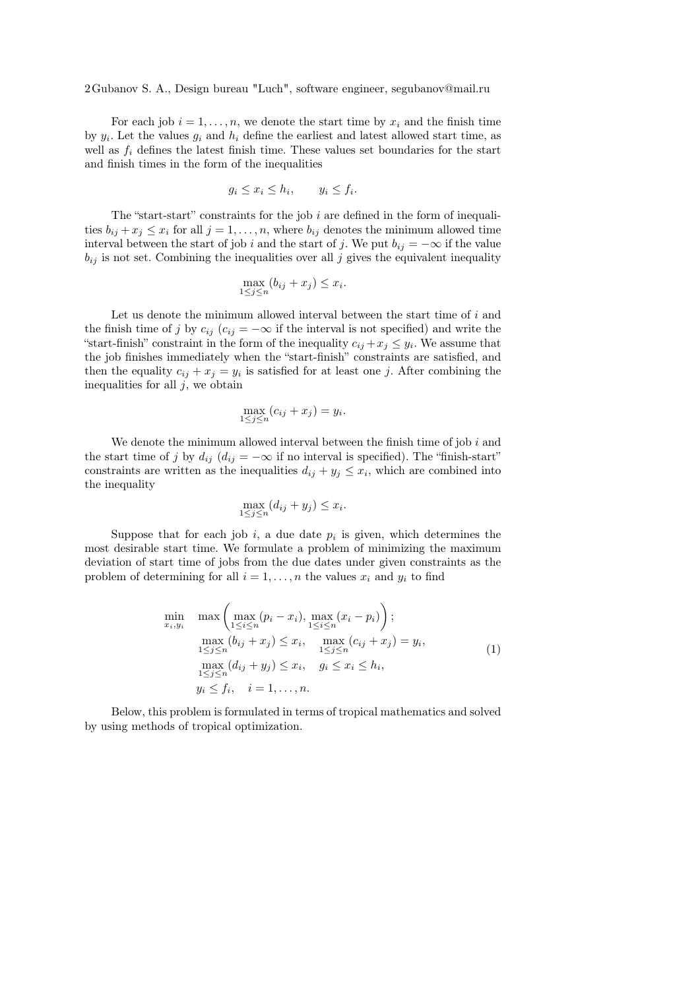2Gubanov S. A., Design bureau "Luch", software engineer, segubanov@mail.ru

For each job  $i = 1, \ldots, n$ , we denote the start time by  $x_i$  and the finish time by  $y_i$ . Let the values  $g_i$  and  $h_i$  define the earliest and latest allowed start time, as well as  $f_i$  defines the latest finish time. These values set boundaries for the start and finish times in the form of the inequalities

$$
g_i \le x_i \le h_i, \qquad y_i \le f_i.
$$

The "start-start" constraints for the job  $i$  are defined in the form of inequalities  $b_{ij} + x_j \leq x_i$  for all  $j = 1, ..., n$ , where  $b_{ij}$  denotes the minimum allowed time interval between the start of job *i* and the start of *j*. We put  $b_{ij} = -\infty$  if the value  $b_{ij}$  is not set. Combining the inequalities over all  $j$  gives the equivalent inequality

$$
\max_{1 \le j \le n} (b_{ij} + x_j) \le x_i.
$$

Let us denote the minimum allowed interval between the start time of  $i$  and the finish time of j by  $c_{ij}$  ( $c_{ij} = -\infty$  if the interval is not specified) and write the "start-finish" constraint in the form of the inequality  $c_{ij} + x_j \leq y_i$ . We assume that the job finishes immediately when the "start-finish" constraints are satisfied, and then the equality  $c_{ij} + x_j = y_i$  is satisfied for at least one j. After combining the inequalities for all  $j$ , we obtain

$$
\max_{1 \le j \le n} (c_{ij} + x_j) = y_i.
$$

We denote the minimum allowed interval between the finish time of job  $i$  and the start time of j by  $d_{ij}$  ( $d_{ij} = -\infty$  if no interval is specified). The "finish-start" constraints are written as the inequalities  $d_{ij} + y_j \leq x_i$ , which are combined into the inequality

$$
\max_{1 \le j \le n} (d_{ij} + y_j) \le x_i.
$$

Suppose that for each job  $i$ , a due date  $p_i$  is given, which determines the most desirable start time. We formulate a problem of minimizing the maximum deviation of start time of jobs from the due dates under given constraints as the problem of determining for all  $i = 1, \ldots, n$  the values  $x_i$  and  $y_i$  to find

$$
\min_{x_i, y_i} \max \left( \max_{1 \le i \le n} (p_i - x_i), \max_{1 \le i \le n} (x_i - p_i) \right);
$$
\n
$$
\max_{1 \le j \le n} (b_{ij} + x_j) \le x_i, \max_{1 \le j \le n} (c_{ij} + x_j) = y_i,
$$
\n
$$
\max_{1 \le j \le n} (d_{ij} + y_j) \le x_i, \quad g_i \le x_i \le h_i,
$$
\n
$$
y_i \le f_i, \quad i = 1, ..., n.
$$
\n(1)

Below, this problem is formulated in terms of tropical mathematics and solved by using methods of tropical optimization.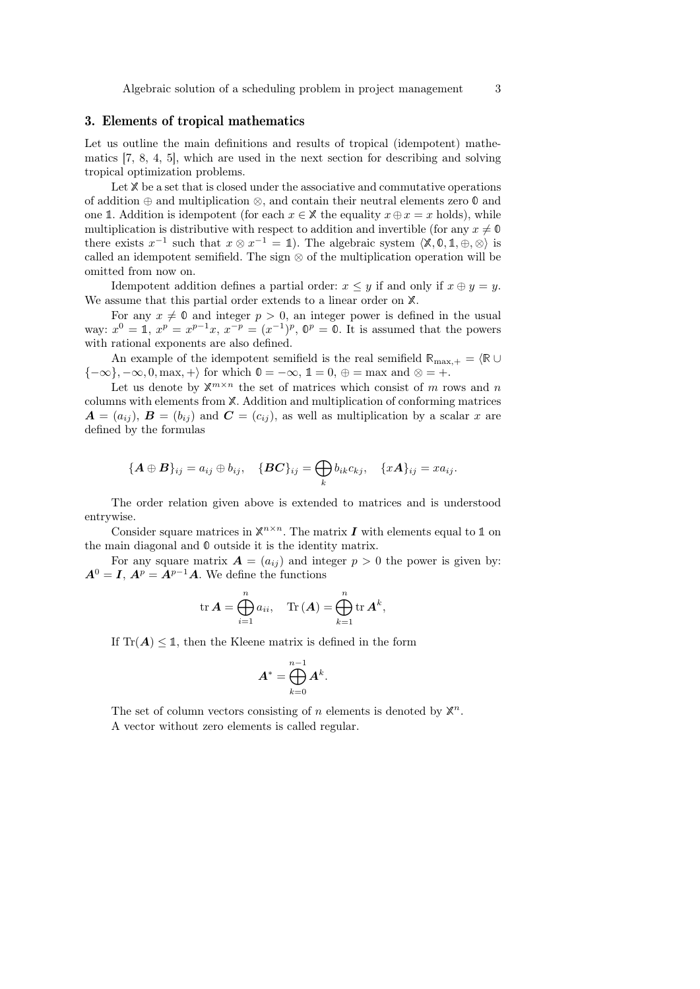#### 3. Elements of tropical mathematics

Let us outline the main definitions and results of tropical (idempotent) mathematics [7, 8, 4, 5], which are used in the next section for describing and solving tropical optimization problems.

Let  $X$  be a set that is closed under the associative and commutative operations of addition ⊕ and multiplication ⊗, and contain their neutral elements zero 0 and one 1. Addition is idempotent (for each  $x \in \mathbb{X}$  the equality  $x \oplus x = x$  holds), while multiplication is distributive with respect to addition and invertible (for any  $x \neq 0$ there exists  $x^{-1}$  such that  $x \otimes x^{-1} = 1$ ). The algebraic system  $\langle \mathbb{X}, \mathbb{0}, \mathbb{1}, \oplus, \otimes \rangle$  is called an idempotent semifield. The sign  $\otimes$  of the multiplication operation will be omitted from now on.

Idempotent addition defines a partial order:  $x \leq y$  if and only if  $x \oplus y = y$ . We assume that this partial order extends to a linear order on  $X$ .

For any  $x \neq 0$  and integer  $p > 0$ , an integer power is defined in the usual way:  $x^0 = 1$ ,  $x^p = x^{p-1}x$ ,  $x^{-p} = (x^{-1})^p$ ,  $\mathbb{O}^p = \mathbb{O}$ . It is assumed that the powers with rational exponents are also defined.

An example of the idempotent semifield is the real semifield  $\mathbb{R}_{\text{max},+} = \langle \mathbb{R} \cup$  ${-\infty}, -\infty, 0, \text{max}, +\rangle$  for which  $\mathbb{0} = -\infty$ ,  $\mathbb{1} = 0, \oplus = \text{max}$  and  $\otimes = +$ .

Let us denote by  $\mathbb{X}^{m \times n}$  the set of matrices which consist of m rows and m columns with elements from X. Addition and multiplication of conforming matrices  $\mathbf{A} = (a_{ij}), \mathbf{B} = (b_{ij})$  and  $\mathbf{C} = (c_{ij}),$  as well as multiplication by a scalar x are defined by the formulas

$$
\{\boldsymbol{A}\oplus\boldsymbol{B}\}_{ij}=a_{ij}\oplus b_{ij},\quad \{\boldsymbol{BC}\}_{ij}=\bigoplus_k b_{ik}c_{kj},\quad \{x\boldsymbol{A}\}_{ij}=xa_{ij}.
$$

The order relation given above is extended to matrices and is understood entrywise.

Consider square matrices in  $\mathbb{X}^{n \times n}$ . The matrix **I** with elements equal to 1 on the main diagonal and 0 outside it is the identity matrix.

For any square matrix  $\mathbf{A} = (a_{ij})$  and integer  $p > 0$  the power is given by:  $A^0 = I$ ,  $A^p = A^{p-1}A$ . We define the functions

$$
\operatorname{tr} \boldsymbol{A} = \bigoplus_{i=1}^n a_{ii}, \quad \operatorname{Tr} (\boldsymbol{A}) = \bigoplus_{k=1}^n \operatorname{tr} \boldsymbol{A}^k,
$$

If  $\text{Tr}(\mathbf{A}) \leq \mathbb{1}$ , then the Kleene matrix is defined in the form

$$
\boldsymbol{A}^* = \bigoplus_{k=0}^{n-1} \boldsymbol{A}^k.
$$

The set of column vectors consisting of  $n$  elements is denoted by  $\mathbb{X}^n$ . A vector without zero elements is called regular.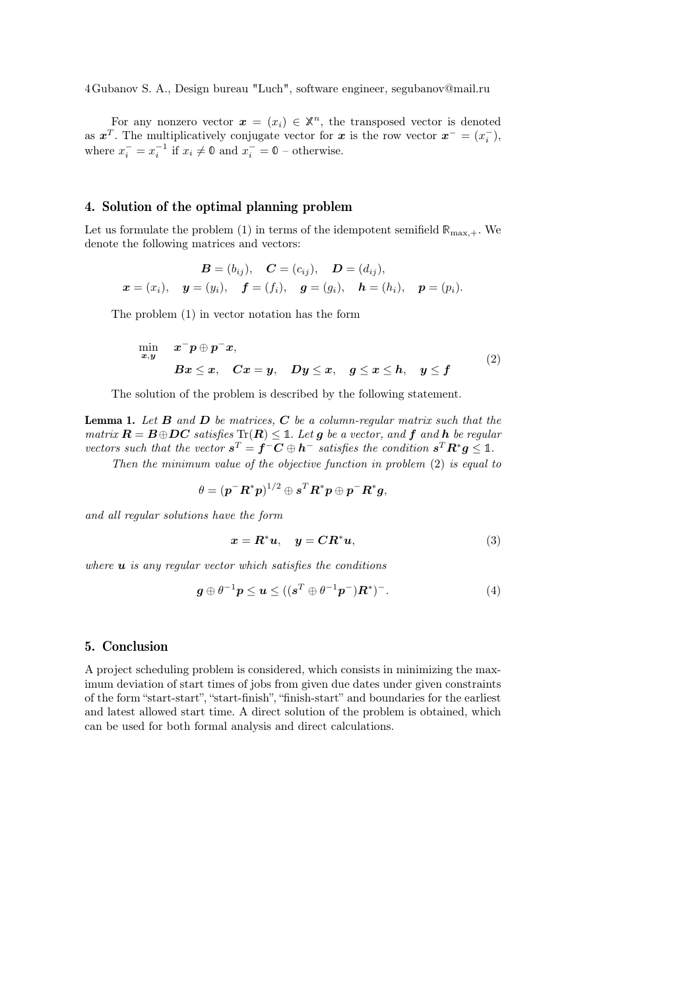4Gubanov S. A., Design bureau "Luch", software engineer, segubanov@mail.ru

For any nonzero vector  $\boldsymbol{x} = (x_i) \in \mathbb{X}^n$ , the transposed vector is denoted as  $x^T$ . The multiplicatively conjugate vector for x is the row vector  $x^- = (x_i^-)$ , where  $x_i^- = x_i^{-1}$  if  $x_i \neq \emptyset$  and  $x_i^- = \emptyset$  – otherwise.

#### 4. Solution of the optimal planning problem

Let us formulate the problem (1) in terms of the idempotent semifield  $\mathbb{R}_{\text{max},+}$ . We denote the following matrices and vectors:

$$
B = (b_{ij}), \quad C = (c_{ij}), \quad D = (d_{ij}),
$$
  

$$
x = (x_i), \quad y = (y_i), \quad f = (f_i), \quad g = (g_i), \quad h = (h_i), \quad p = (p_i).
$$

The problem (1) in vector notation has the form

$$
\min_{x,y} \quad x^- p \oplus p^- x, \nBx \le x, \quad Cx = y, \quad Dy \le x, \quad g \le x \le h, \quad y \le f
$$
\n(2)

The solution of the problem is described by the following statement.

**Lemma 1.** Let  $B$  and  $D$  be matrices,  $C$  be a column-regular matrix such that the matrix  $\mathbf{R} = \mathbf{B} \oplus \mathbf{D}\mathbf{C}$  satisfies  $\text{Tr}(\mathbf{R}) \leq \mathbb{1}$ . Let **q** be a vector, and **f** and **h** be regular vectors such that the vector  $s^T = f^-C \oplus h^-$  satisfies the condition  $s^T R^* g \leq 1$ .

Then the minimum value of the objective function in problem (2) is equal to

$$
\theta = (\boldsymbol{p}^-\boldsymbol{R}^*\boldsymbol{p})^{1/2} \oplus \boldsymbol{s}^T\boldsymbol{R}^*\boldsymbol{p} \oplus \boldsymbol{p}^-\boldsymbol{R}^*\boldsymbol{g},
$$

and all regular solutions have the form

$$
x = R^*u, \quad y = CR^*u,
$$
\n(3)

where  $\boldsymbol{u}$  is any regular vector which satisfies the conditions

$$
\mathbf{g} \oplus \theta^{-1} \mathbf{p} \le \mathbf{u} \le ((\mathbf{s}^T \oplus \theta^{-1} \mathbf{p}^-) \mathbf{R}^*)^- . \tag{4}
$$

#### 5. Conclusion

A project scheduling problem is considered, which consists in minimizing the maximum deviation of start times of jobs from given due dates under given constraints of the form "start-start", "start-finish", "finish-start" and boundaries for the earliest and latest allowed start time. A direct solution of the problem is obtained, which can be used for both formal analysis and direct calculations.